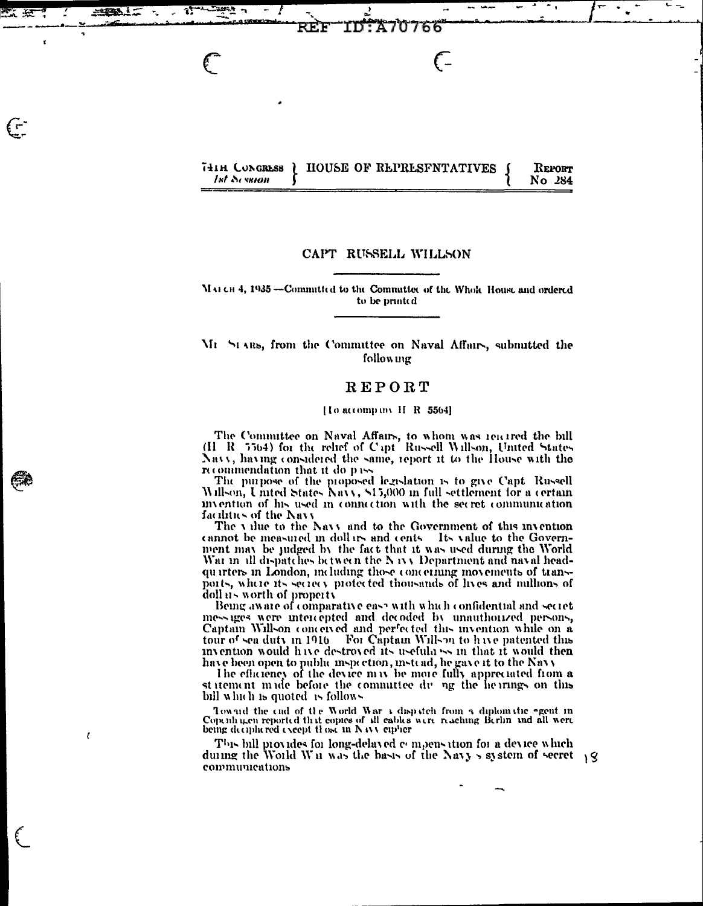|             |  |  | THIH CONGRESS ( HOUSE OF REPRESFNTATIVES ) | REPORT |
|-------------|--|--|--------------------------------------------|--------|
| lst Session |  |  |                                            | No 284 |

07 ħ

 $\epsilon$ 

REF

23

 $\epsilon$ 

 $\epsilon$ 

 $\epsilon$ 

### CAPT RUSSELL WILLSON

MAI CH 4, 1935 --Committed to the Committee of the Whole House and ordered to be printed

### Mr StARs, from the Committee on Naval Affairs, submitted the following

# REPORT

#### [Io accompany H R 5564]

The Committee on Naval Affairs, to whom was reacted the bill (H R [5564) for the relief of Capt Russell Willson, United States Navy, having considered the same, report it to the House with the recommendation that it do pass

The purpose of the proposed legislation is to give Capt Russell Willson, United States Navy, \$15,000 in full settlement for a certain invention of his used in connection with the secret communication facilities of the Navy

The value to the Navy and to the Government of this invention cannot be measured in dollars and cents. Its value to the Government may be judged by the fact that it was used during the World Wat in all dispatches between the Navy Department and naval headquarters in London, including those concerning movements of transports, where its secrecy protected thousands of lives and millions of  $\frac{1}{2}$  doll  $\frac{1}{2}$  worth of property

Being aware of comparative ease with which confidential and secret messages were intercepted and decoded by unauthorized persons, Captain Willson conceived and perfected this invention while on a tour of sea duty in 1916 For Captain Willson to have patented this invention would have destroyed its usefula ss in that it would then have been open to public inspection, instead, he gave it to the Navy

The efficiency of the device may be more fully appreciated from a statement made before the commuttee du ng the hearings on this bill which is quoted is follows

Toward the end of the World War  $\bar{x}$  dispatch from a diplomatic agent in Copenhagen reported that copies of all cables were reaching Berlin and all were being deciphered except those in Navy cipher

This bill provides for long-delayed compensation for a device which during the World Wir was the basis of the Navy's system of secret 19 communications